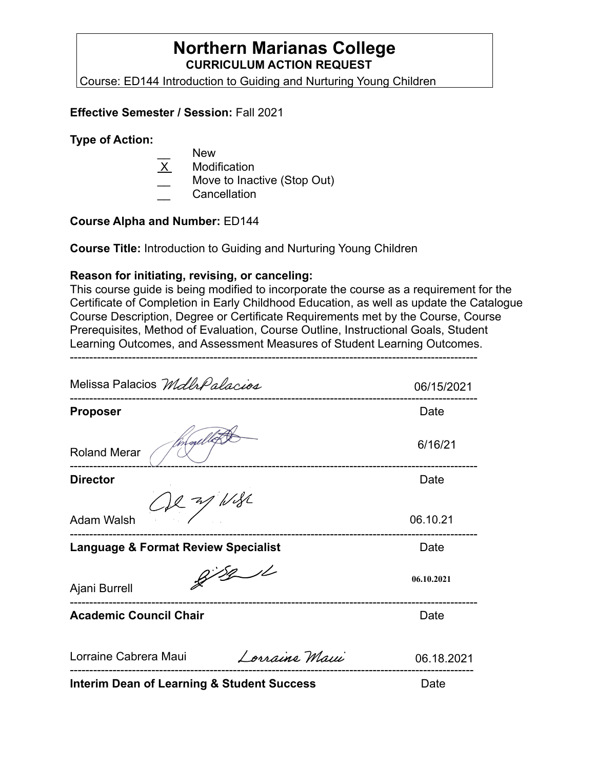# **Northern Marianas College CURRICULUM ACTION REQUEST**

Course: ED144 Introduction to Guiding and Nurturing Young Children

#### **Effective Semester / Session:** Fall 2021

#### **Type of Action:**

- New
- **Modification**
- Move to Inactive (Stop Out)
- \_\_ Cancellation

### **Course Alpha and Number:** ED144

**Course Title:** Introduction to Guiding and Nurturing Young Children

### **Reason for initiating, revising, or canceling:**

This course guide is being modified to incorporate the course as a requirement for the Certificate of Completion in Early Childhood Education, as well as update the Catalogue Course Description, Degree or Certificate Requirements met by the Course, Course Prerequisites, Method of Evaluation, Course Outline, Instructional Goals, Student Learning Outcomes, and Assessment Measures of Student Learning Outcomes.

---------------------------------------------------------------------------------------------------------

Melissa Palacios Mdlh Palacios 06/15/2021 --------------------------------------------------------------------------------------------------------- **Proposer** Date 6/16/21 Roland Merar --------------------------------------------------------------------------------------------------------- **Director** Date **Date**  $\approx$  /  $1/8$ Adam Walsh 06.10.21 --------------------------------------------------------------------------------------------------------- **Language & Format Review Specialist Canadiation Control Cate**  $8/8/1$ **06.10.2021** Ajani Burrell --------------------------------------------------------------------------------------------------------- **Academic Council Chair <b>Date Date Date Date** Lorraine Cabrera Maui Lorraine Maui 06.18.2021 -------------------------------------------------------------------------------------------------------- **Interim Dean of Learning & Student Success** Date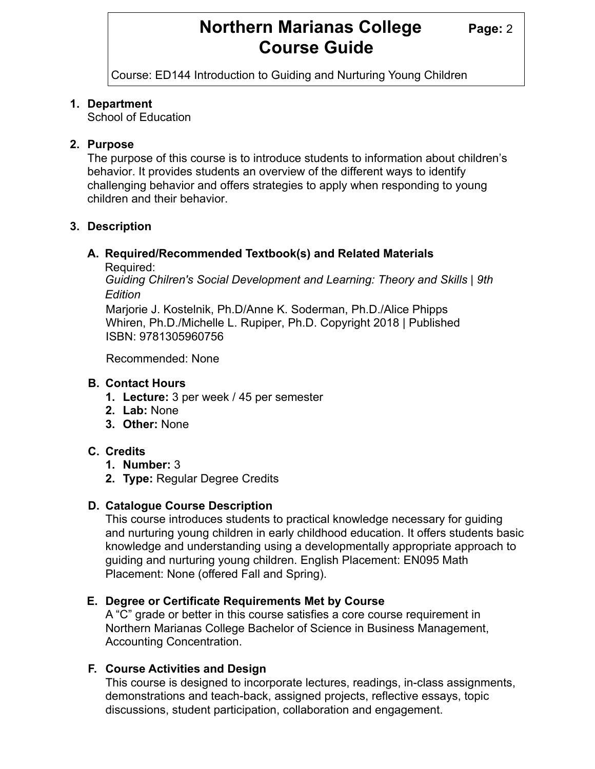# **Northern Marianas College Page: 2 Course Guide**

Course: ED144 Introduction to Guiding and Nurturing Young Children

#### **1. Department**

School of Education

### **2. Purpose**

The purpose of this course is to introduce students to information about children's behavior. It provides students an overview of the different ways to identify challenging behavior and offers strategies to apply when responding to young children and their behavior.

# **3. Description**

# **A. Required/Recommended Textbook(s) and Related Materials**

Required:

*Guiding Chilren's Social Development and Learning: Theory and Skills | 9th Edition*

Marjorie J. Kostelnik, Ph.D/Anne K. Soderman, Ph.D./Alice Phipps Whiren, Ph.D./Michelle L. Rupiper, Ph.D. Copyright 2018 | Published ISBN: 9781305960756

Recommended: None

#### **B. Contact Hours**

- **1. Lecture:** 3 per week / 45 per semester
- **2. Lab:** None
- **3. Other:** None

# **C. Credits**

- **1. Number:** 3
- **2. Type:** Regular Degree Credits

# **D. Catalogue Course Description**

This course introduces students to practical knowledge necessary for guiding and nurturing young children in early childhood education. It offers students basic knowledge and understanding using a developmentally appropriate approach to guiding and nurturing young children. English Placement: EN095 Math Placement: None (offered Fall and Spring).

#### **E. Degree or Certificate Requirements Met by Course**

A "C" grade or better in this course satisfies a core course requirement in Northern Marianas College Bachelor of Science in Business Management, Accounting Concentration.

# **F. Course Activities and Design**

This course is designed to incorporate lectures, readings, in-class assignments, demonstrations and teach-back, assigned projects, reflective essays, topic discussions, student participation, collaboration and engagement.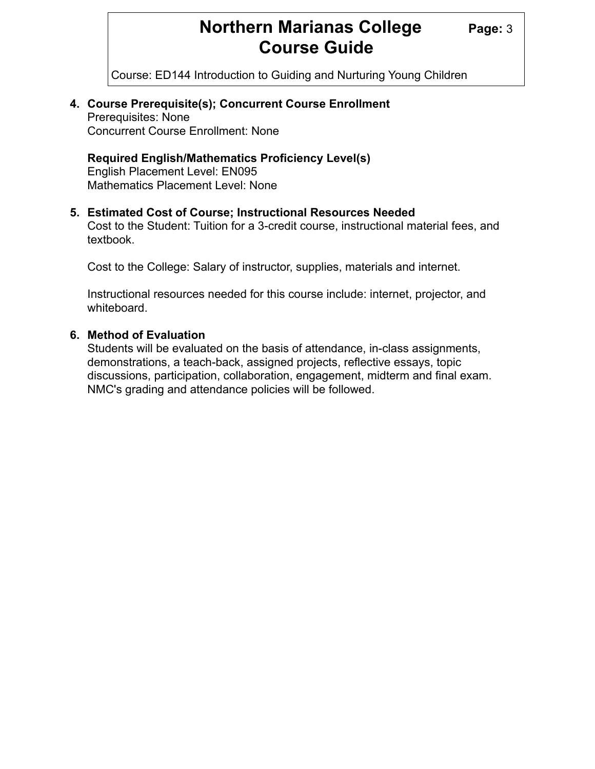# **Northern Marianas College Page: 3 Course Guide**

Course: ED144 Introduction to Guiding and Nurturing Young Children

#### **4. Course Prerequisite(s); Concurrent Course Enrollment**  Prerequisites: None

Concurrent Course Enrollment: None

### **Required English/Mathematics Proficiency Level(s)**

 English Placement Level: EN095 Mathematics Placement Level: None

#### **5. Estimated Cost of Course; Instructional Resources Needed**

 Cost to the Student: Tuition for a 3-credit course, instructional material fees, and textbook.

Cost to the College: Salary of instructor, supplies, materials and internet.

 Instructional resources needed for this course include: internet, projector, and whiteboard.

#### **6. Method of Evaluation**

 Students will be evaluated on the basis of attendance, in-class assignments, demonstrations, a teach-back, assigned projects, reflective essays, topic discussions, participation, collaboration, engagement, midterm and final exam. NMC's grading and attendance policies will be followed.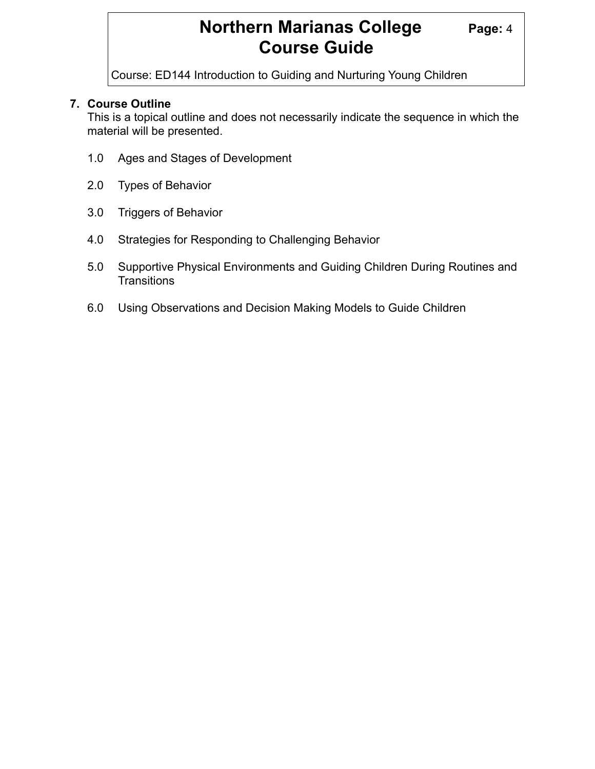# **Northern Marianas College Page: 4 Course Guide**

Course: ED144 Introduction to Guiding and Nurturing Young Children

# **7. Course Outline**

 This is a topical outline and does not necessarily indicate the sequence in which the material will be presented.

- 1.0 Ages and Stages of Development
- 2.0 Types of Behavior
- 3.0 Triggers of Behavior
- 4.0 Strategies for Responding to Challenging Behavior
- 5.0 Supportive Physical Environments and Guiding Children During Routines and **Transitions**
- 6.0 Using Observations and Decision Making Models to Guide Children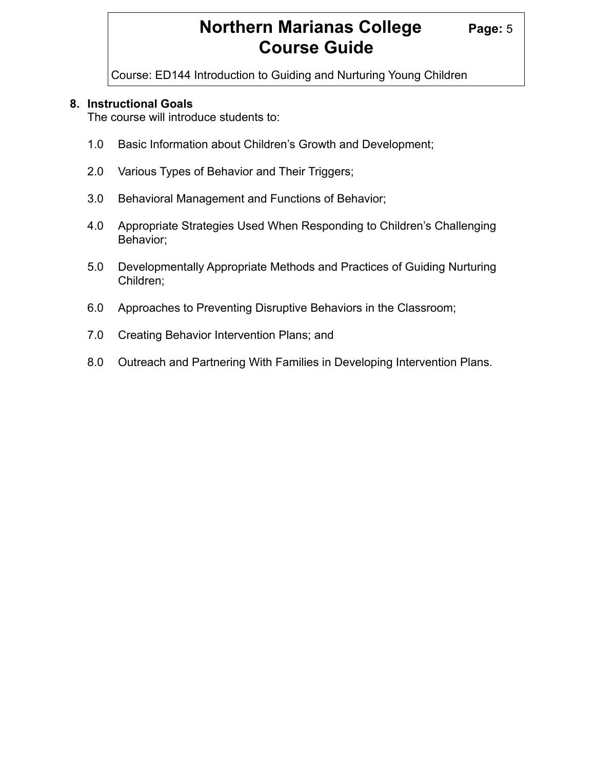# **Northern Marianas College Page: 5 Course Guide**

Course: ED144 Introduction to Guiding and Nurturing Young Children

#### **8. Instructional Goals**

The course will introduce students to:

- 1.0 Basic Information about Children's Growth and Development;
- 2.0 Various Types of Behavior and Their Triggers;
- 3.0 Behavioral Management and Functions of Behavior;
- 4.0 Appropriate Strategies Used When Responding to Children's Challenging Behavior;
- 5.0 Developmentally Appropriate Methods and Practices of Guiding Nurturing Children;
- 6.0 Approaches to Preventing Disruptive Behaviors in the Classroom;
- 7.0 Creating Behavior Intervention Plans; and
- 8.0 Outreach and Partnering With Families in Developing Intervention Plans.